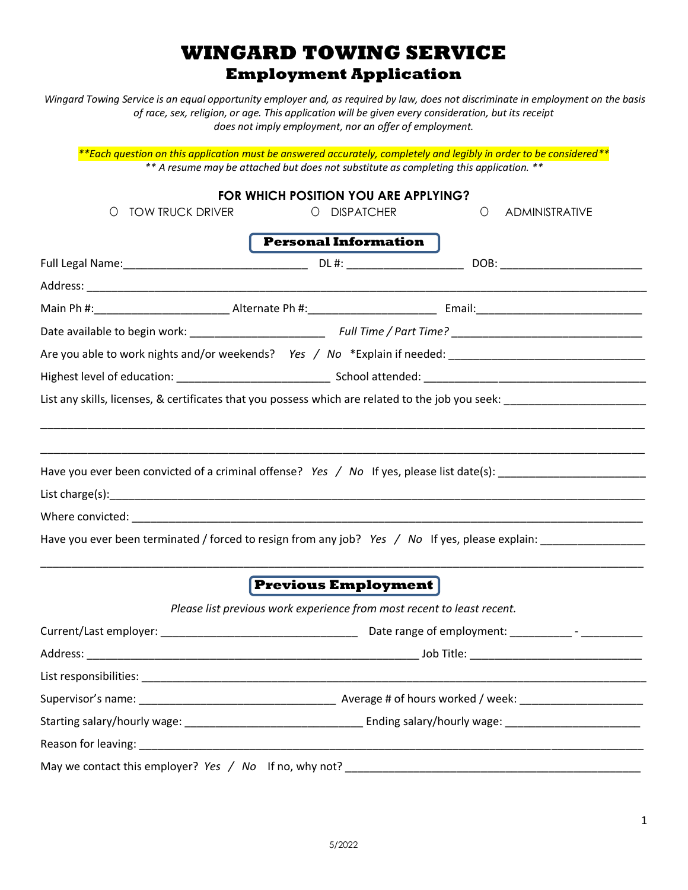## **WINGARD TOWING SERVICE Employment Application**

*Wingard Towing Service is an equal opportunity employer and, as required by law, does not discriminate in employment on the basis of race, sex, religion, or age. This application will be given every consideration, but its receipt does not imply employment, nor an offer of employment.* 

*\*\*Each question on this application must be answered accurately, completely and legibly in order to be considered\*\* \*\* A resume may be attached but does not substitute as completing this application. \*\**

| <b>TOW TRUCK DRIVER</b><br>O                                                                                                                                                                                                   | FOR WHICH POSITION YOU ARE APPLYING?<br><b>DISPATCHER</b><br>$\circ$                                  | ADMINISTRATIVE<br>$\circ$ |  |  |
|--------------------------------------------------------------------------------------------------------------------------------------------------------------------------------------------------------------------------------|-------------------------------------------------------------------------------------------------------|---------------------------|--|--|
|                                                                                                                                                                                                                                | <b>Personal Information</b>                                                                           |                           |  |  |
|                                                                                                                                                                                                                                |                                                                                                       |                           |  |  |
|                                                                                                                                                                                                                                |                                                                                                       |                           |  |  |
|                                                                                                                                                                                                                                |                                                                                                       |                           |  |  |
|                                                                                                                                                                                                                                |                                                                                                       |                           |  |  |
|                                                                                                                                                                                                                                |                                                                                                       |                           |  |  |
|                                                                                                                                                                                                                                |                                                                                                       |                           |  |  |
|                                                                                                                                                                                                                                |                                                                                                       |                           |  |  |
| Have you ever been convicted of a criminal offense? Yes / No If yes, please list date(s): ____________________                                                                                                                 |                                                                                                       |                           |  |  |
| Have you ever been terminated / forced to resign from any job? Yes / No If yes, please explain: ______________                                                                                                                 | $ $ Previous Employment $ $<br>Please list previous work experience from most recent to least recent. |                           |  |  |
|                                                                                                                                                                                                                                |                                                                                                       |                           |  |  |
|                                                                                                                                                                                                                                |                                                                                                       |                           |  |  |
| List responsibilities: the contract of the contract of the contract of the contract of the contract of the contract of the contract of the contract of the contract of the contract of the contract of the contract of the con |                                                                                                       |                           |  |  |
|                                                                                                                                                                                                                                |                                                                                                       |                           |  |  |
|                                                                                                                                                                                                                                |                                                                                                       |                           |  |  |
|                                                                                                                                                                                                                                |                                                                                                       |                           |  |  |
|                                                                                                                                                                                                                                |                                                                                                       |                           |  |  |

1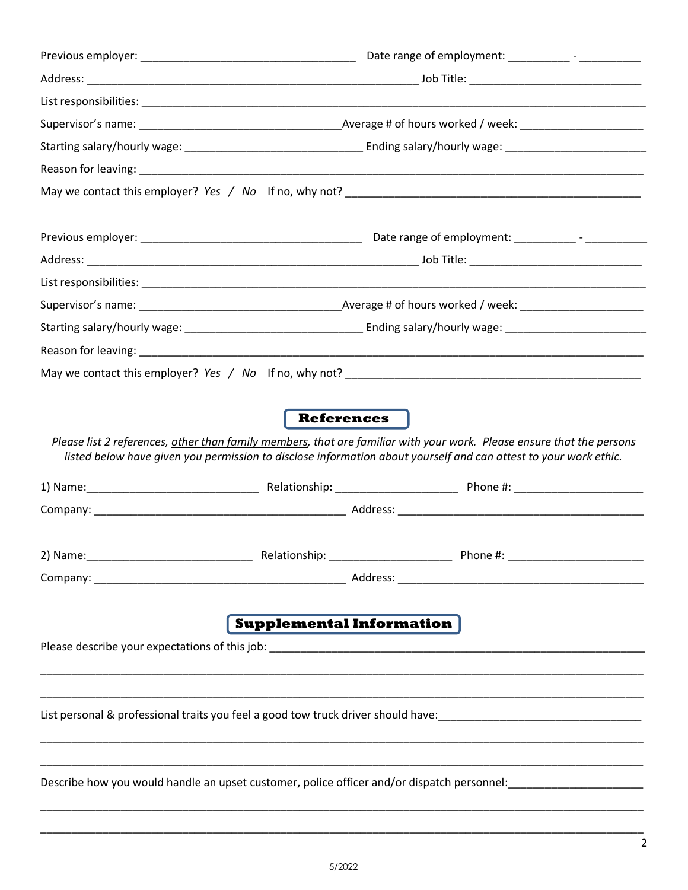| Reason for leaving: example and a series of the series of the series of the series of the series of the series |                                 |                                                                                                                                                                                                                                           |  |  |
|----------------------------------------------------------------------------------------------------------------|---------------------------------|-------------------------------------------------------------------------------------------------------------------------------------------------------------------------------------------------------------------------------------------|--|--|
|                                                                                                                |                                 |                                                                                                                                                                                                                                           |  |  |
|                                                                                                                |                                 |                                                                                                                                                                                                                                           |  |  |
|                                                                                                                |                                 |                                                                                                                                                                                                                                           |  |  |
|                                                                                                                |                                 |                                                                                                                                                                                                                                           |  |  |
|                                                                                                                |                                 |                                                                                                                                                                                                                                           |  |  |
|                                                                                                                |                                 |                                                                                                                                                                                                                                           |  |  |
|                                                                                                                |                                 |                                                                                                                                                                                                                                           |  |  |
|                                                                                                                |                                 |                                                                                                                                                                                                                                           |  |  |
|                                                                                                                |                                 |                                                                                                                                                                                                                                           |  |  |
|                                                                                                                |                                 |                                                                                                                                                                                                                                           |  |  |
|                                                                                                                | <b>References</b>               |                                                                                                                                                                                                                                           |  |  |
|                                                                                                                |                                 |                                                                                                                                                                                                                                           |  |  |
|                                                                                                                |                                 | Please list 2 references, other than family members, that are familiar with your work. Please ensure that the persons<br>listed below have given you permission to disclose information about yourself and can attest to your work ethic. |  |  |
|                                                                                                                |                                 |                                                                                                                                                                                                                                           |  |  |
|                                                                                                                |                                 |                                                                                                                                                                                                                                           |  |  |
|                                                                                                                |                                 |                                                                                                                                                                                                                                           |  |  |
|                                                                                                                |                                 |                                                                                                                                                                                                                                           |  |  |
|                                                                                                                |                                 | 2) Name: 2000 12000 12000 12000 12000 12000 12000 12000 12000 12000 12000 12000 12000 12000 12000 12000 12000 1                                                                                                                           |  |  |
|                                                                                                                |                                 |                                                                                                                                                                                                                                           |  |  |
|                                                                                                                | <b>Supplemental Information</b> |                                                                                                                                                                                                                                           |  |  |
|                                                                                                                |                                 |                                                                                                                                                                                                                                           |  |  |
|                                                                                                                |                                 |                                                                                                                                                                                                                                           |  |  |
|                                                                                                                |                                 |                                                                                                                                                                                                                                           |  |  |
|                                                                                                                |                                 |                                                                                                                                                                                                                                           |  |  |
|                                                                                                                |                                 |                                                                                                                                                                                                                                           |  |  |
|                                                                                                                |                                 |                                                                                                                                                                                                                                           |  |  |
|                                                                                                                |                                 |                                                                                                                                                                                                                                           |  |  |

\_\_\_\_\_\_\_\_\_\_\_\_\_\_\_\_\_\_\_\_\_\_\_\_\_\_\_\_\_\_\_\_\_\_\_\_\_\_\_\_\_\_\_\_\_\_\_\_\_\_\_\_\_\_\_\_\_\_\_\_\_\_\_\_\_\_\_\_\_\_\_\_\_\_\_\_\_\_\_\_\_\_\_\_\_\_\_\_\_\_\_\_\_\_\_\_\_\_